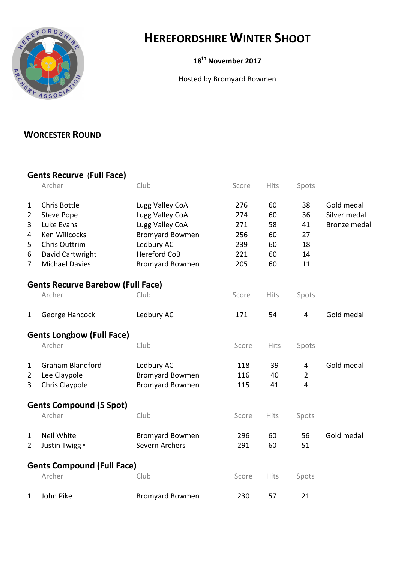

## HEREFORDSHIRE WINTER SHOOT

## 18<sup>th</sup> November 2017

Hosted by Bromyard Bowmen

## WORCESTER ROUND

## Gents Recurve (Full Face)

|                                  | Archer                                   | Club                   | Score | Hits        | Spots          |                     |  |  |  |
|----------------------------------|------------------------------------------|------------------------|-------|-------------|----------------|---------------------|--|--|--|
| $\mathbf{1}$                     | Chris Bottle                             | Lugg Valley CoA        | 276   | 60          | 38             | Gold medal          |  |  |  |
| $\overline{2}$                   | <b>Steve Pope</b>                        | Lugg Valley CoA        | 274   | 60          | 36             | Silver medal        |  |  |  |
| 3                                | Luke Evans                               | Lugg Valley CoA        | 271   | 58          | 41             | <b>Bronze medal</b> |  |  |  |
| 4                                | Ken Willcocks                            | <b>Bromyard Bowmen</b> | 256   | 60          | 27             |                     |  |  |  |
| 5                                | Chris Outtrim                            | Ledbury AC             | 239   | 60          | 18             |                     |  |  |  |
| 6                                | David Cartwright                         | <b>Hereford CoB</b>    | 221   | 60          | 14             |                     |  |  |  |
| $\overline{7}$                   | <b>Michael Davies</b>                    | <b>Bromyard Bowmen</b> | 205   | 60          | 11             |                     |  |  |  |
|                                  | <b>Gents Recurve Barebow (Full Face)</b> |                        |       |             |                |                     |  |  |  |
|                                  | Archer                                   | Club                   | Score | Hits        | Spots          |                     |  |  |  |
| $\mathbf{1}$                     | George Hancock                           | Ledbury AC             | 171   | 54          | $\overline{4}$ | Gold medal          |  |  |  |
| <b>Gents Longbow (Full Face)</b> |                                          |                        |       |             |                |                     |  |  |  |
|                                  | Archer                                   | Club                   | Score | <b>Hits</b> | Spots          |                     |  |  |  |
| $\mathbf{1}$                     | <b>Graham Blandford</b>                  | Ledbury AC             | 118   | 39          | 4              | Gold medal          |  |  |  |
| $\overline{2}$                   | Lee Claypole                             | <b>Bromyard Bowmen</b> | 116   | 40          | $\overline{2}$ |                     |  |  |  |
| 3                                | Chris Claypole                           | <b>Bromyard Bowmen</b> | 115   | 41          | $\overline{4}$ |                     |  |  |  |
| <b>Gents Compound (5 Spot)</b>   |                                          |                        |       |             |                |                     |  |  |  |
|                                  | Archer                                   | Club                   | Score | Hits        | Spots          |                     |  |  |  |
| 1                                | <b>Neil White</b>                        | <b>Bromyard Bowmen</b> | 296   | 60          | 56             | Gold medal          |  |  |  |
| 2                                | Justin Twigg <b>t</b>                    | Severn Archers         | 291   | 60          | 51             |                     |  |  |  |
|                                  | <b>Gents Compound (Full Face)</b>        |                        |       |             |                |                     |  |  |  |
|                                  | Archer                                   | Club                   | Score | <b>Hits</b> | Spots          |                     |  |  |  |
| 1                                | John Pike                                | <b>Bromyard Bowmen</b> | 230   | 57          | 21             |                     |  |  |  |